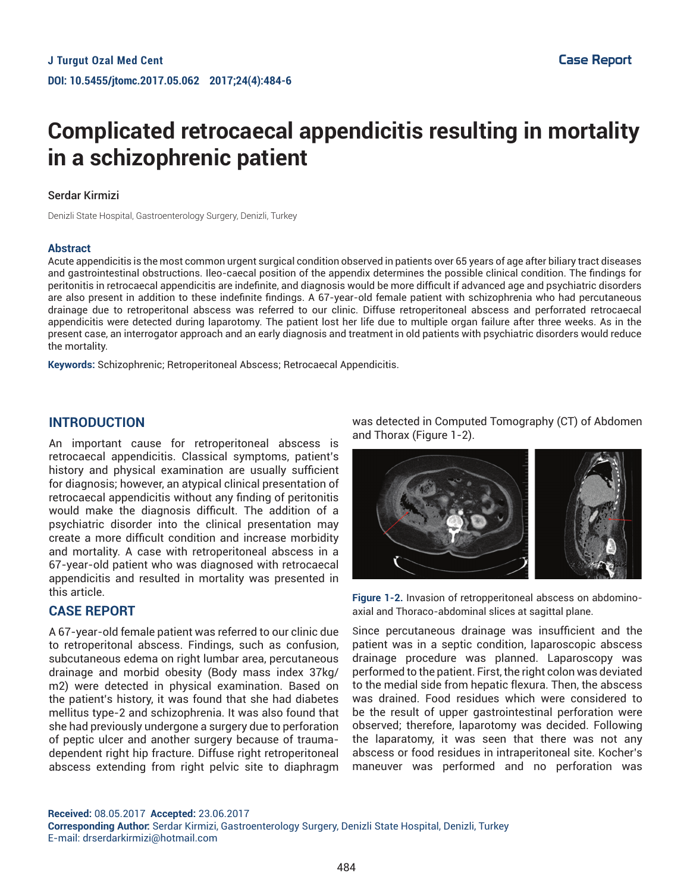# **Complicated retrocaecal appendicitis resulting in mortality in a schizophrenic patient**

#### Serdar Kirmizi

Denizli State Hospital, Gastroenterology Surgery, Denizli, Turkey

#### **Abstract**

Acute appendicitis is the most common urgent surgical condition observed in patients over 65 years of age after biliary tract diseases and gastrointestinal obstructions. Ileo-caecal position of the appendix determines the possible clinical condition. The findings for peritonitis in retrocaecal appendicitis are indefinite, and diagnosis would be more difficult if advanced age and psychiatric disorders are also present in addition to these indefinite findings. A 67-year-old female patient with schizophrenia who had percutaneous drainage due to retroperitonal abscess was referred to our clinic. Diffuse retroperitoneal abscess and perforrated retrocaecal appendicitis were detected during laparotomy. The patient lost her life due to multiple organ failure after three weeks. As in the present case, an interrogator approach and an early diagnosis and treatment in old patients with psychiatric disorders would reduce the mortality.

**Keywords:** Schizophrenic; Retroperitoneal Abscess; Retrocaecal Appendicitis.

# **INTRODUCTION**

An important cause for retroperitoneal abscess is retrocaecal appendicitis. Classical symptoms, patient's history and physical examination are usually sufficient for diagnosis; however, an atypical clinical presentation of retrocaecal appendicitis without any finding of peritonitis would make the diagnosis difficult. The addition of a psychiatric disorder into the clinical presentation may create a more difficult condition and increase morbidity and mortality. A case with retroperitoneal abscess in a 67-year-old patient who was diagnosed with retrocaecal appendicitis and resulted in mortality was presented in this article.

## **CASE REPORT**

A 67-year-old female patient was referred to our clinic due to retroperitonal abscess. Findings, such as confusion, subcutaneous edema on right lumbar area, percutaneous drainage and morbid obesity (Body mass index 37kg/ m2) were detected in physical examination. Based on the patient's history, it was found that she had diabetes mellitus type-2 and schizophrenia. It was also found that she had previously undergone a surgery due to perforation of peptic ulcer and another surgery because of traumadependent right hip fracture. Diffuse right retroperitoneal abscess extending from right pelvic site to diaphragm was detected in Computed Tomography (CT) of Abdomen and Thorax (Figure 1-2).



**Figure 1-2.** Invasion of retropperitoneal abscess on abdominoaxial and Thoraco-abdominal slices at sagittal plane.

Since percutaneous drainage was insufficient and the patient was in a septic condition, laparoscopic abscess drainage procedure was planned. Laparoscopy was performed to the patient. First, the right colon was deviated to the medial side from hepatic flexura. Then, the abscess was drained. Food residues which were considered to be the result of upper gastrointestinal perforation were observed; therefore, laparotomy was decided. Following the laparatomy, it was seen that there was not any abscess or food residues in intraperitoneal site. Kocher's maneuver was performed and no perforation was

**Received:** 08.05.2017 **Accepted:** 23.06.2017 **Corresponding Author:** Serdar Kirmizi, Gastroenterology Surgery, Denizli State Hospital, Denizli, Turkey E-mail: drserdarkirmizi@hotmail.com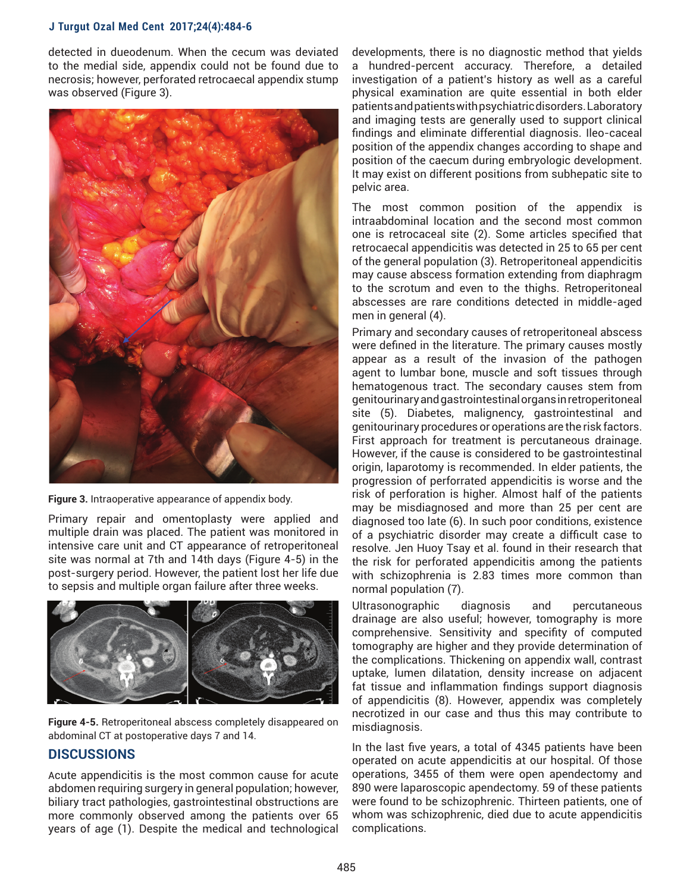#### **J Turgut Ozal Med Cent 2017;24(4):484-6**

detected in dueodenum. When the cecum was deviated to the medial side, appendix could not be found due to necrosis; however, perforated retrocaecal appendix stump was observed (Figure 3).



**Figure 3.** Intraoperative appearance of appendix body.

Primary repair and omentoplasty were applied and multiple drain was placed. The patient was monitored in intensive care unit and CT appearance of retroperitoneal site was normal at 7th and 14th days (Figure 4-5) in the post-surgery period. However, the patient lost her life due to sepsis and multiple organ failure after three weeks.



**Figure 4-5.** Retroperitoneal abscess completely disappeared on abdominal CT at postoperative days 7 and 14.

# **DISCUSSIONS**

Acute appendicitis is the most common cause for acute abdomen requiring surgery in general population; however, biliary tract pathologies, gastrointestinal obstructions are more commonly observed among the patients over 65 years of age (1). Despite the medical and technological developments, there is no diagnostic method that yields a hundred-percent accuracy. Therefore, a detailed investigation of a patient's history as well as a careful physical examination are quite essential in both elder patients and patients with psychiatric disorders. Laboratory and imaging tests are generally used to support clinical findings and eliminate differential diagnosis. Ileo-caceal position of the appendix changes according to shape and position of the caecum during embryologic development. It may exist on different positions from subhepatic site to pelvic area.

The most common position of the appendix is intraabdominal location and the second most common one is retrocaceal site (2). Some articles specified that retrocaecal appendicitis was detected in 25 to 65 per cent of the general population (3). Retroperitoneal appendicitis may cause abscess formation extending from diaphragm to the scrotum and even to the thighs. Retroperitoneal abscesses are rare conditions detected in middle-aged men in general (4).

Primary and secondary causes of retroperitoneal abscess were defined in the literature. The primary causes mostly appear as a result of the invasion of the pathogen agent to lumbar bone, muscle and soft tissues through hematogenous tract. The secondary causes stem from genitourinary and gastrointestinal organs in retroperitoneal site (5). Diabetes, malignency, gastrointestinal and genitourinary procedures or operations are the risk factors. First approach for treatment is percutaneous drainage. However, if the cause is considered to be gastrointestinal origin, laparotomy is recommended. In elder patients, the progression of perforrated appendicitis is worse and the risk of perforation is higher. Almost half of the patients may be misdiagnosed and more than 25 per cent are diagnosed too late (6). In such poor conditions, existence of a psychiatric disorder may create a difficult case to resolve. Jen Huoy Tsay et al. found in their research that the risk for perforated appendicitis among the patients with schizophrenia is 2.83 times more common than normal population (7).

Ultrasonographic diagnosis and percutaneous drainage are also useful; however, tomography is more comprehensive. Sensitivity and specifity of computed tomography are higher and they provide determination of the complications. Thickening on appendix wall, contrast uptake, lumen dilatation, density increase on adjacent fat tissue and inflammation findings support diagnosis of appendicitis (8). However, appendix was completely necrotized in our case and thus this may contribute to misdiagnosis.

In the last five years, a total of 4345 patients have been operated on acute appendicitis at our hospital. Of those operations, 3455 of them were open apendectomy and 890 were laparoscopic apendectomy. 59 of these patients were found to be schizophrenic. Thirteen patients, one of whom was schizophrenic, died due to acute appendicitis complications.